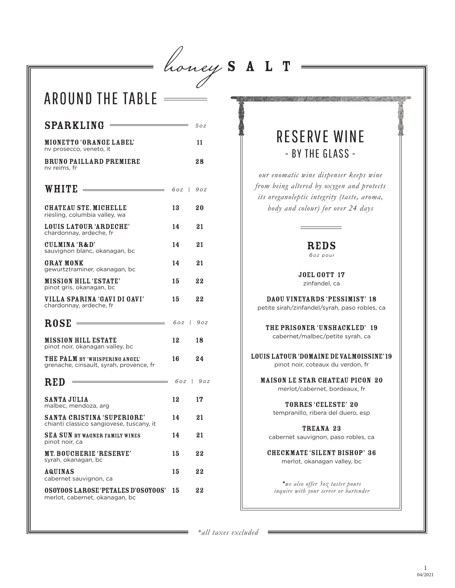= honey  $S$  A L T

 $\frac{1}{\sqrt{1-\frac{1}{2}}}\frac{1}{\sqrt{1-\frac{1}{2}}\sqrt{1-\frac{1}{2}}\sqrt{1-\frac{1}{2}}\sqrt{1-\frac{1}{2}}\sqrt{1-\frac{1}{2}}\sqrt{1-\frac{1}{2}}\sqrt{1-\frac{1}{2}}\sqrt{1-\frac{1}{2}}\sqrt{1-\frac{1}{2}}\sqrt{1-\frac{1}{2}}\sqrt{1-\frac{1}{2}}\sqrt{1-\frac{1}{2}}\sqrt{1-\frac{1}{2}}\sqrt{1-\frac{1}{2}}\sqrt{1-\frac{1}{2}}\sqrt{1-\frac{1}{2}}\sqrt{1-\frac{1}{2}}\sqrt{1-\frac{1}{2}}\$ 

# AROUND THE TABLE

| $SPARKLING =$                                                                 |               | 5 o z  |
|-------------------------------------------------------------------------------|---------------|--------|
| <b>MIONETTO 'ORANGE LABEL'</b><br>nv prosecco, veneto, it                     |               | 11     |
| <b>BRUNO PAILLARD PREMIERE</b><br>nv reims, fr                                |               | 28     |
| $WHITE$ $\qquad \qquad$                                                       | $60z$   $90z$ |        |
| <b>CHATEAU STE. MICHELLE</b><br>riesling, columbia valley, wa                 | 13            | 20     |
| LOUIS LATOUR 'ARDECHE'<br>chardonnay, ardeche, fr                             | 14            | 21     |
| CULMINA 'R&D'<br>sauvignon blanc, okanagan, bc                                | 14            | 21     |
| <b>GRAY MONK</b><br>gewurtztraminer, okanagan, bc                             | 14            | 21     |
| <b>MISSION HILL 'ESTATE'</b><br>pinot gris, okanagan, bc                      | 15            | 22     |
| VILLA SPARINA 'GAVI DI GAVI'<br>chardonnay, ardeche, fr                       | 15            | $22\,$ |
| <b>ROSE</b>                                                                   | $60z$   $90z$ |        |
| <b>MISSION HILL ESTATE</b><br>pinot noir, okanagan valley, bc                 | 12            | 18     |
| THE PALM BY 'WHISPERING ANGEL'<br>grenache, cinsault, syrah, provence, fr     | 16            | 24     |
| <b>RED</b> $\frac{1}{202}$                                                    |               |        |
| <b>SANTA JULIA</b><br>malbec, mendoza, arg                                    | 12            | 17     |
| <b>SANTA CRISTINA 'SUPERIORE'</b><br>chianti classico sangiovese, tuscany, it | 14            | 21     |
| <b>SEA SUN BY WAGNER FAMILY WINES</b><br>pinot noir, ca                       | 14            | 21     |
|                                                                               |               |        |
| MT. BOUCHERIE 'RESERVE'<br>syrah, okanagan, bc                                | 15            | $22\,$ |
| AQUINAS<br>cabernet sauvignon, ca                                             | 15            | 22     |

## RESERVE WINE - BY THE GLASS -

*our enomatic wine dispenser keeps wine from being altered by oxygen and protects its oreganoleptic integrity (taste, aroma, body and colour) for over 24 days* 

#### REDS

6oz pour

JOEL GOTT 17 zinfandel, ca

Daou Vineyards 'Pessimist' 18 petite sirah/zinfandel/syrah, paso robles, ca

the prisoner 'unshackled' 19 cabernet/malbec/petite syrah, ca

louis latour 'domaine de valmoissine' 19 pinot noir, coteaux du verdon, fr

maison le star chateau picon 20 merlot/cabernet, bordeaux, fr

> Torres 'Celeste' 20 tempranillo, ribera del duero, esp

TREANA 23 cabernet sauvignon, paso robles, ca

Checkmate 'Silent Bishop' 36 merlot, okanagan valley, bc

\**we also offer 3oz taster pours inquire with your server or bartender*

*\*all taxes excluded*

 $\overline{\phantom{a}}$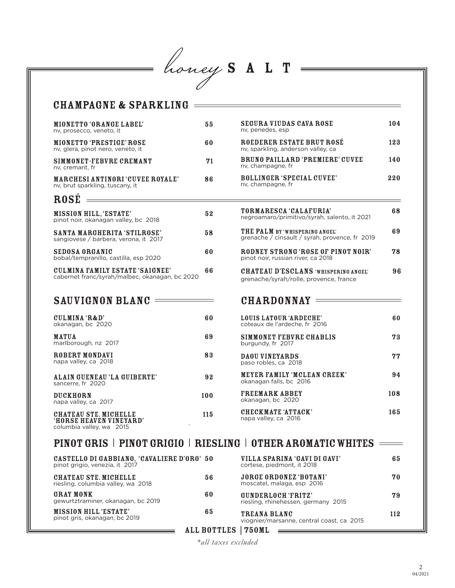honey SALT

### mionetto 'orange label' 55 CHAMPAGNE & SPARKLING

| nv, prosecco, veneto, it                                                   |    |  |  |  |
|----------------------------------------------------------------------------|----|--|--|--|
| <b>MIONETTO 'PRESTIGE' ROSE</b><br>ny, glera, pinot nero, veneto, it       |    |  |  |  |
| SIMMONET-FEBVRE CREMANT<br>ny. cremant. fr                                 | 71 |  |  |  |
| <b>MARCHESI ANTINORI 'CUVEE ROYALE'</b><br>ny, brut sparkling, tuscany, it | 86 |  |  |  |
| <b>ROSE</b>                                                                |    |  |  |  |
| <b>MISSION HILL, 'ESTATE'</b><br>pinot noir, okanagan valley, bc 2018      | 52 |  |  |  |
| SANTA MARGHERITA 'STILROSE'<br>sangiovese / barbera, verona, it 2017       | 58 |  |  |  |

| SEDOSA ORGANIC<br>bobal/tempranillo, castilla, esp 2020                           |    |  |
|-----------------------------------------------------------------------------------|----|--|
| CULMINA FAMILY ESTATE 'SAIGNEE'<br>cabernet franc/syrah/malbec, okanagan, bc 2020 | 66 |  |

#### SAUVIGNON BLANC

| CULMINA 'R&D'<br>okanagan, bc 2020                                                  | 60  |
|-------------------------------------------------------------------------------------|-----|
| <b>MATUA</b><br>marlborough, nz 2017                                                | 69  |
| ROBERT MONDAVI<br>napa valley, ca 2018                                              | 83  |
| ALAIN GUENEAU 'LA GUIBERTE'<br>sancerre. fr 2020                                    | 92  |
| <b>DUCKHORN</b><br>napa valley, ca 2017                                             | 100 |
| <b>CHATEAU STE. MICHELLE</b><br>'HORSE HEAVEN VINEYARD'<br>columbia valley, wa 2015 | 115 |

#### segura viudas cava rose 104 nv, penedes, esp ROEDERER ESTATE BRUT ROSÉ 123 nv, sparkling, anderson valley, ca bruno paillard 'premiere' cuvee 140 nv, champagne, fr bollinger 'special cuvee' 220 nv, champagne, fr

| <b>TORMARESCA CALAFURIA</b><br>negroamaro/primitivo/syrah, salento, it 2021          | 68 |
|--------------------------------------------------------------------------------------|----|
| THE PALM BY WHISPERING ANGEL'<br>grenache / cinsault / syrah, provence, fr 2019      | 69 |
| RODNEY STRONG 'ROSE OF PINOT NOIR'<br>pinot noir, russian river, ca 2018             | 78 |
| <b>CHATEAU D'ESCLANS WHISPERING ANGELY</b><br>grenache/syrah/rolle, provence, france | 96 |

#### CHARDONNAY =

| LOUIS LATOUR 'ARDECHE'<br>coteaux de l'ardeche, fr 2016       | 60  |
|---------------------------------------------------------------|-----|
| SIMMONET FEBVRE CHABLIS<br>burgundy, fr 2017                  | 73  |
| <b>DAOU VINEYARDS</b><br>paso robles, ca 2018                 | 77  |
| <b>MEYER FAMILY 'MCLEAN CREEK'</b><br>okanagan falls, bc 2016 | 94  |
| <b>FREEMARK ABBEY</b><br>okanagan, bc 2020                    | 108 |
| CHECKMATE 'ATTACK'<br>napa valley, ca 2016                    | 165 |

#### PINOT GRIS | PINOT GRIGIO | RIESLING | OTHER AROMATIC WHITES ====

 $\equiv$ 

| CASTELLO DI GABBIANO, 'CAVALIERE D'ORO' 50<br>pinot grigio, venezia, it 2017 |                    | VILLA SPARINA 'GAVI DI GAVI'<br>cortese, piedmont, it 2018  | 65  |
|------------------------------------------------------------------------------|--------------------|-------------------------------------------------------------|-----|
| CHATEAU STE. MICHELLE<br>riesling, columbia valley, wa 2018                  | 56                 | <b>JORGE ORDONEZ 'BOTANI'</b><br>moscatel, malaga, esp 2016 | 70  |
| <b>GRAY MONK</b><br>gewurtztraminer, okanagan, bc 2019                       | 60                 | GUNDERLOCH 'FRITZ'<br>riesling, rhinehessen, germany 2015   | 79  |
| <b>MISSION HILL 'ESTATE'</b><br>pinot gris, okanagan, bc 2019                | 65                 | TREANA BLANC<br>viognier/marsanne, central coast, ca 2015   | 112 |
|                                                                              | <b>ALL BOTTLES</b> | 750MI                                                       |     |

*\*all taxes excluded*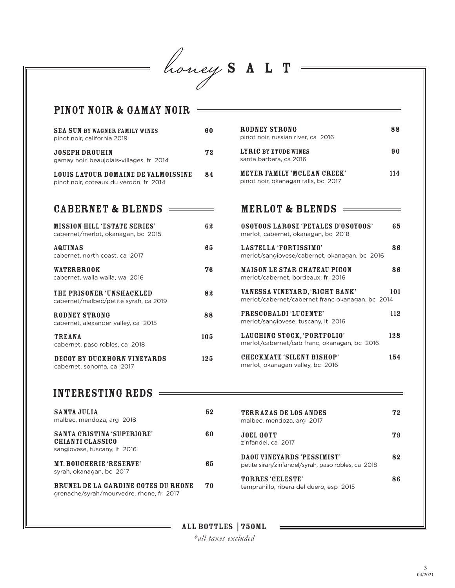= honey  $S A L T =$ 

| SEA SUN BY WAGNER FAMILY WINES<br>pinot noir, california 2019                 | 60  | RODNEY STRONG<br>pinot noir, russian river, ca 2016                                | 88  |
|-------------------------------------------------------------------------------|-----|------------------------------------------------------------------------------------|-----|
| <b>JOSEPH DROUHIN</b><br>gamay noir, beaujolais-villages, fr 2014             | 72  | <b>LYRIC BY ETUDE WINES</b><br>santa barbara, ca 2016                              | 90  |
| LOUIS LATOUR DOMAINE DE VALMOISSINE<br>pinot noir, coteaux du verdon, fr 2014 | 84  | MEYER FAMILY 'MCLEAN CREEK'<br>pinot noir, okanagan falls, bc 2017                 | 114 |
| <b>CABERNET &amp; BLENDS</b>                                                  |     | <b>MERLOT &amp; BLENDS</b>                                                         |     |
| <b>MISSION HILL 'ESTATE SERIES'</b><br>cabernet/merlot, okanagan, bc 2015     | 62  | <b>OSOYOOS LAROSE 'PETALES D'OSOYOOS'</b><br>merlot, cabernet, okanagan, bc 2018   | 65  |
| <b>AQUINAS</b><br>cabernet, north coast, ca 2017                              | 65  | LASTELLA 'FORTISSIMO'<br>merlot/sangiovese/cabernet, okanagan, bc 2016             | 86  |
| <b>WATERBROOK</b><br>cabernet, walla walla, wa 2016                           | 76  | <b>MAISON LE STAR CHATEAU PICON</b><br>merlot/cabernet, bordeaux, fr 2016          | 86  |
| THE PRISONER 'UNSHACKLED<br>cabernet/malbec/petite syrah, ca 2019             | 82  | VANESSA VINEYARD, 'RIGHT BANK'<br>merlot/cabernet/cabernet franc okanagan, bc 2014 | 101 |
| <b>RODNEY STRONG</b><br>cabernet, alexander valley, ca 2015                   | 88  | <b>FRESCOBALDI 'LUCENTE'</b><br>merlot/sangiovese, tuscany, it 2016                | 112 |
| <b>TREANA</b><br>cabernet, paso robles, ca 2018                               | 105 | LAUGHING STOCK, 'PORTFOLIO'<br>merlot/cabernet/cab franc, okanagan, bc 2016        | 128 |
| DECOY BY DUCKHORN VINEYARDS<br>cabernet, sonoma, ca 2017                      | 125 | <b>CHECKMATE 'SILENT BISHOP'</b><br>merlot, okanagan valley, bc 2016               | 154 |

| <b>SANTA JULIA</b><br>malbec, mendoza, arg 2018                                        | 52 | <b>TERRAZAS DE LOS ANDES</b><br>malbec, mendoza, arg 2017                        | 72 |
|----------------------------------------------------------------------------------------|----|----------------------------------------------------------------------------------|----|
| <b>SANTA CRISTINA 'SUPERIORE'</b><br>CHIANTI CLASSICO<br>sangiovese, tuscany, it 2016  | 60 | <b>JOEL GOTT</b><br>zinfandel, ca 2017                                           | 73 |
| MT. BOUCHERIE 'RESERVE'<br>syrah, okanagan, bc 2017                                    | 65 | DAOU VINEYARDS 'PESSIMIST'<br>petite sirah/zinfandel/syrah, paso robles, ca 2018 | 82 |
| <b>BRUNEL DE LA GARDINE COTES DU RHONE</b><br>grenache/syrah/mourvedre, rhone, fr 2017 | 70 | <b>TORRES 'CELESTE'</b><br>tempranillo, ribera del duero, esp 2015               | 86 |

ALL BOTTLES | 750ml

*\*all taxes excluded*